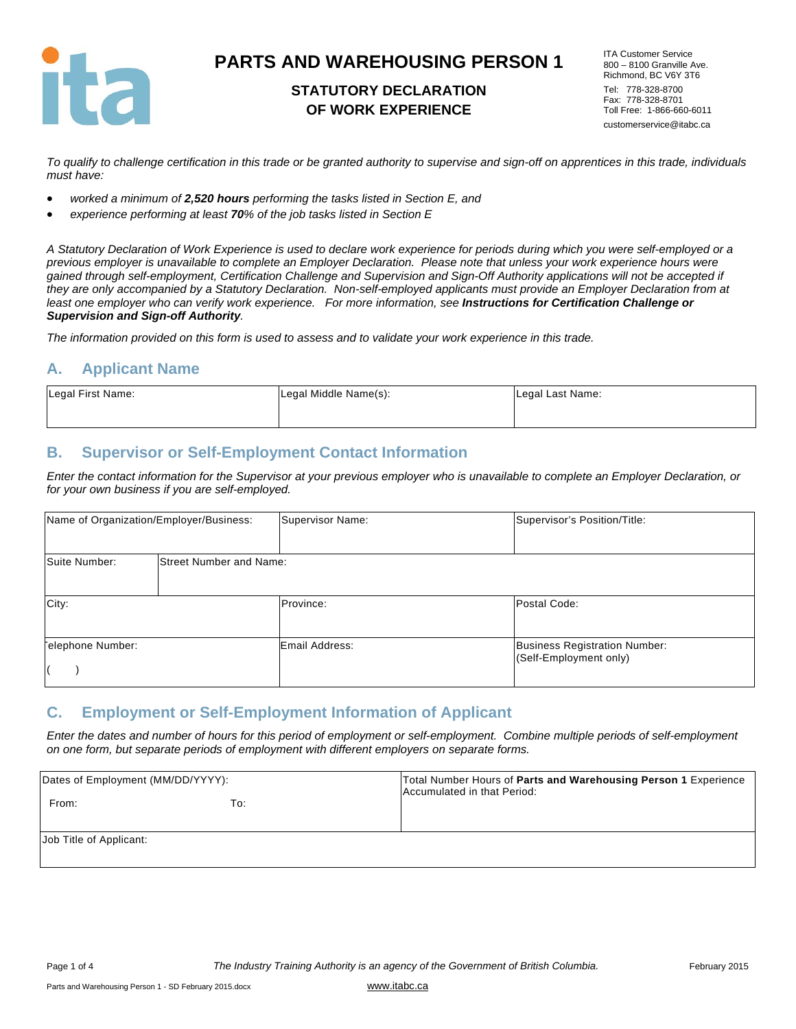

## **STATUTORY DECLARATION OF WORK EXPERIENCE**

ITA Customer Service 800 – 8100 Granville Ave. Richmond, BC V6Y 3T6 Tel: 778-328-8700 Fax: 778-328-8701 Toll Free: 1-866-660-6011 customerservice@itabc.ca

*To qualify to challenge certification in this trade or be granted authority to supervise and sign-off on apprentices in this trade, individuals must have:* 

- *worked a minimum of 2,520 hours performing the tasks listed in Section E, and*
- *experience performing at least 70% of the job tasks listed in Section E*

*A Statutory Declaration of Work Experience is used to declare work experience for periods during which you were self-employed or a previous employer is unavailable to complete an Employer Declaration. Please note that unless your work experience hours were gained through self-employment, Certification Challenge and Supervision and Sign-Off Authority applications will not be accepted if they are only accompanied by a Statutory Declaration. Non-self-employed applicants must provide an Employer Declaration from at*  least one employer who can verify work experience. For more information, see **Instructions for Certification Challenge or** *Supervision and Sign-off Authority.* 

*The information provided on this form is used to assess and to validate your work experience in this trade.* 

#### **A. Applicant Name**

| Legal First Name: | Legal Middle Name(s): | Legal Last Name: |
|-------------------|-----------------------|------------------|
|                   |                       |                  |

#### **B. Supervisor or Self-Employment Contact Information**

*Enter the contact information for the Supervisor at your previous employer who is unavailable to complete an Employer Declaration, or for your own business if you are self-employed.* 

|                  | Name of Organization/Employer/Business: | Supervisor Name: | Supervisor's Position/Title:                                   |
|------------------|-----------------------------------------|------------------|----------------------------------------------------------------|
| Suite Number:    | <b>Street Number and Name:</b>          |                  |                                                                |
| City:            |                                         | Province:        | Postal Code:                                                   |
| elephone Number: |                                         | Email Address:   | <b>Business Registration Number:</b><br>(Self-Employment only) |

### **C. Employment or Self-Employment Information of Applicant**

*Enter the dates and number of hours for this period of employment or self-employment. Combine multiple periods of self-employment on one form, but separate periods of employment with different employers on separate forms.* 

| Dates of Employment (MM/DD/YYYY): |     | Total Number Hours of Parts and Warehousing Person 1 Experience<br>Accumulated in that Period: |
|-----------------------------------|-----|------------------------------------------------------------------------------------------------|
| From:                             | To: |                                                                                                |
| Job Title of Applicant:           |     |                                                                                                |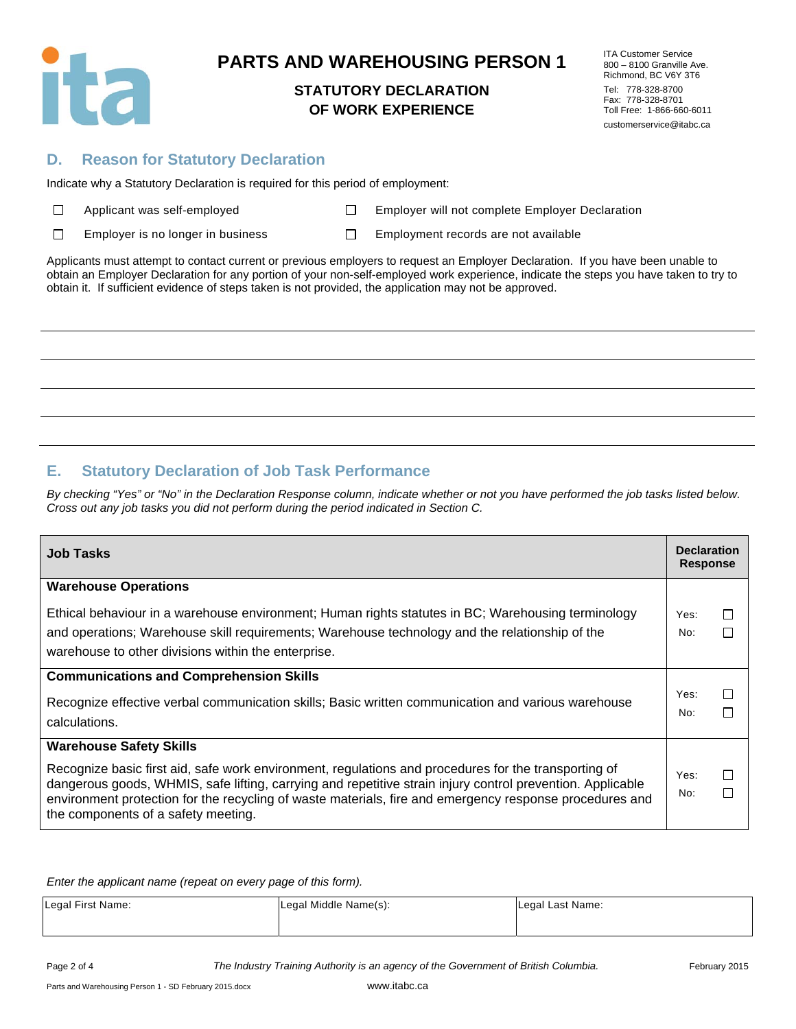

### **STATUTORY DECLARATION OF WORK EXPERIENCE**

ITA Customer Service 800 – 8100 Granville Ave. Richmond, BC V6Y 3T6 Tel: 778-328-8700 Fax: 778-328-8701 Toll Free: 1-866-660-6011 customerservice@itabc.ca

### **D. Reason for Statutory Declaration**

Indicate why a Statutory Declaration is required for this period of employment:

| $\Box$ |  | Applicant was self-employe |
|--------|--|----------------------------|
|--------|--|----------------------------|

ed **Employer will not complete Employer Declaration** 

 $\Box$ Employer is no longer in business  $\square$  Employment records are not available

Applicants must attempt to contact current or previous employers to request an Employer Declaration. If you have been unable to obtain an Employer Declaration for any portion of your non-self-employed work experience, indicate the steps you have taken to try to obtain it. If sufficient evidence of steps taken is not provided, the application may not be approved.

## **E. Statutory Declaration of Job Task Performance**

*By checking "Yes" or "No" in the Declaration Response column, indicate whether or not you have performed the job tasks listed below. Cross out any job tasks you did not perform during the period indicated in Section C.* 

| <b>Job Tasks</b>                                                                                                                                                                                                      | <b>Declaration</b><br><b>Response</b> |        |
|-----------------------------------------------------------------------------------------------------------------------------------------------------------------------------------------------------------------------|---------------------------------------|--------|
| <b>Warehouse Operations</b>                                                                                                                                                                                           |                                       |        |
| Ethical behaviour in a warehouse environment; Human rights statutes in BC; Warehousing terminology                                                                                                                    | Yes:                                  | $\Box$ |
| and operations; Warehouse skill requirements; Warehouse technology and the relationship of the                                                                                                                        | No:                                   |        |
| warehouse to other divisions within the enterprise.                                                                                                                                                                   |                                       |        |
| <b>Communications and Comprehension Skills</b>                                                                                                                                                                        |                                       |        |
| Recognize effective verbal communication skills; Basic written communication and various warehouse                                                                                                                    | Yes:<br>No:                           | $\Box$ |
| calculations.                                                                                                                                                                                                         |                                       |        |
| <b>Warehouse Safety Skills</b>                                                                                                                                                                                        |                                       |        |
| Recognize basic first aid, safe work environment, regulations and procedures for the transporting of                                                                                                                  | Yes:                                  | $\Box$ |
| dangerous goods, WHMIS, safe lifting, carrying and repetitive strain injury control prevention. Applicable<br>environment protection for the recycling of waste materials, fire and emergency response procedures and | No:                                   | П      |
| the components of a safety meeting.                                                                                                                                                                                   |                                       |        |

*Enter the applicant name (repeat on every page of this form).* 

| Legal First Name: | Legal Middle Name(s): | Legal Last Name: |
|-------------------|-----------------------|------------------|
|                   |                       |                  |

Page 2 of 4 *The Industry Training Authority is an agency of the Government of British Columbia.* February 2015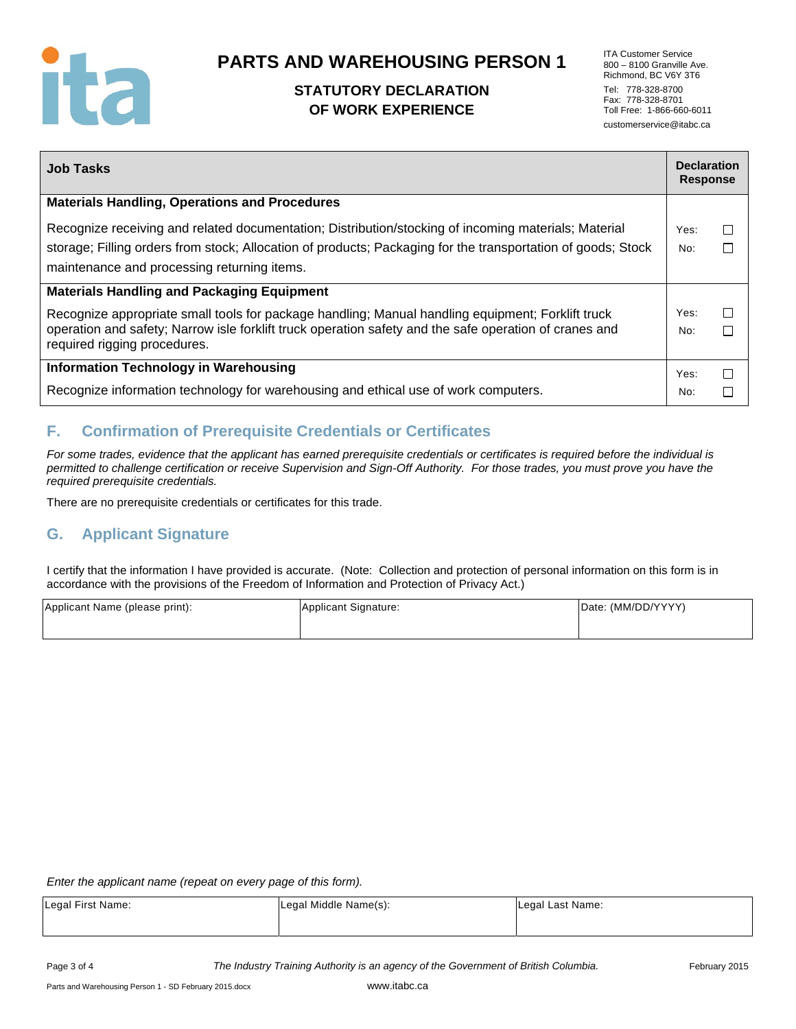

## **STATUTORY DECLARATION OF WORK EXPERIENCE**

ITA Customer Service 800 – 8100 Granville Ave. Richmond, BC V6Y 3T6 Tel: 778-328-8700 Fax: 778-328-8701 Toll Free: 1-866-660-6011 customerservice@itabc.ca

| <b>Job Tasks</b>                                                                                                                       | <b>Declaration</b><br><b>Response</b> |   |
|----------------------------------------------------------------------------------------------------------------------------------------|---------------------------------------|---|
| <b>Materials Handling, Operations and Procedures</b>                                                                                   |                                       |   |
| Recognize receiving and related documentation; Distribution/stocking of incoming materials; Material                                   | Yes:                                  | П |
| storage; Filling orders from stock; Allocation of products; Packaging for the transportation of goods; Stock                           | No:                                   | П |
| maintenance and processing returning items.                                                                                            |                                       |   |
| <b>Materials Handling and Packaging Equipment</b>                                                                                      |                                       |   |
| Recognize appropriate small tools for package handling; Manual handling equipment; Forklift truck                                      | Yes:                                  | П |
| operation and safety; Narrow isle forklift truck operation safety and the safe operation of cranes and<br>required rigging procedures. | No:                                   |   |
| <b>Information Technology in Warehousing</b>                                                                                           | Yes:                                  | П |
| Recognize information technology for warehousing and ethical use of work computers.                                                    | No:                                   |   |

## **F. Confirmation of Prerequisite Credentials or Certificates**

*For some trades, evidence that the applicant has earned prerequisite credentials or certificates is required before the individual is permitted to challenge certification or receive Supervision and Sign-Off Authority. For those trades, you must prove you have the required prerequisite credentials.* 

There are no prerequisite credentials or certificates for this trade.

## **G. Applicant Signature**

I certify that the information I have provided is accurate. (Note: Collection and protection of personal information on this form is in accordance with the provisions of the Freedom of Information and Protection of Privacy Act.)

| Applicant Name (please print): | Applicant Signature: | Date: (MM/DD/YYYY) |
|--------------------------------|----------------------|--------------------|
|                                |                      |                    |

*Enter the applicant name (repeat on every page of this form).* 

| Legal First Name: | Legal Middle Name(s): | Legal Last Name: |
|-------------------|-----------------------|------------------|
|                   |                       |                  |

Page 3 of 4 *The Industry Training Authority is an agency of the Government of British Columbia.* February 2015